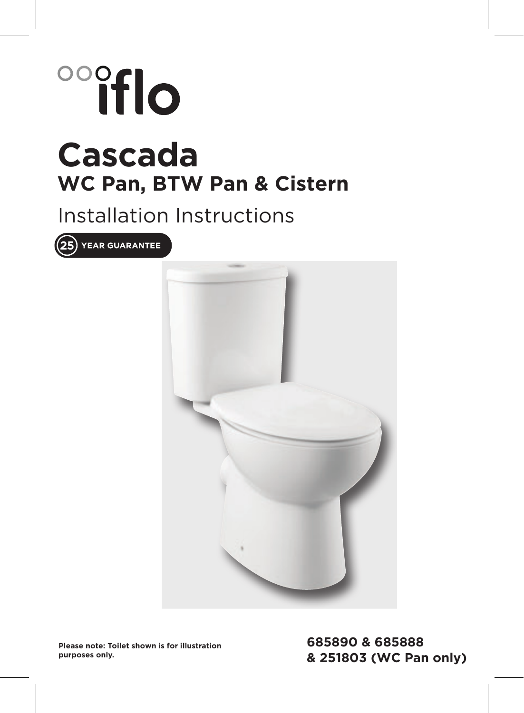# oooflo **Cascada WC Pan, BTW Pan & Cistern**

### Installation Instructions

 $(25)$  YEAR GUARANTEE



**Please note: Toilet shown is for illustration purposes only.**

**685890 & 685888 & 251803 (WC Pan only)**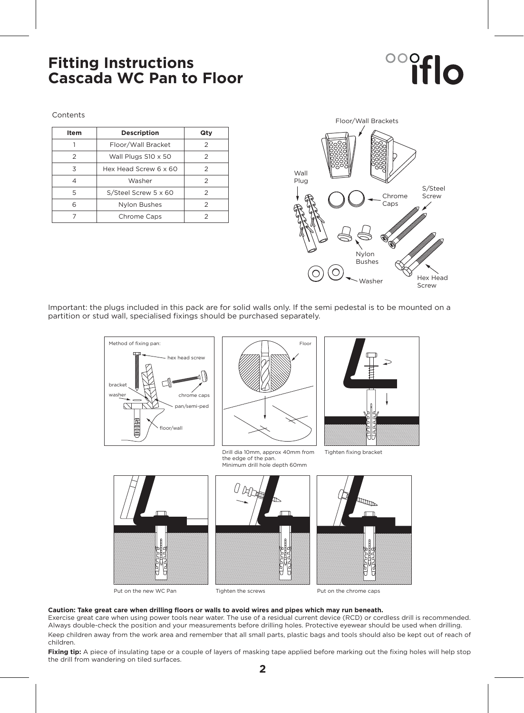### **Fitting Instructions Cascada WC Pan to Floor**

# **ooffic**

Contents

| Item | <b>Description</b>    | Qty |
|------|-----------------------|-----|
|      | Floor/Wall Bracket    | 2   |
| 2    | Wall Plugs S10 x 50   | 2   |
| 3    | Hex Head Screw 6 x 60 | 2   |
|      | Washer                | 2   |
| 5    | S/Steel Screw 5 x 60  | 2   |
| ี    | Nylon Bushes          | 2   |
|      | Chrome Caps           |     |



Important: the plugs included in this pack are for solid walls only. If the semi pedestal is to be mounted on a partition or stud wall, specialised fixings should be purchased separately.



Put on the new WC Pan Tighten the screws Put on the chrome caps

#### **Caution: Take great care when drilling floors or walls to avoid wires and pipes which may run beneath.**

Exercise great care when using power tools near water. The use of a residual current device (RCD) or cordless drill is recommended. Always double-check the position and your measurements before drilling holes. Protective eyewear should be used when drilling. Keep children away from the work area and remember that all small parts, plastic bags and tools should also be kept out of reach of children.

Fixing tip: A piece of insulating tape or a couple of layers of masking tape applied before marking out the fixing holes will help stop the drill from wandering on tiled surfaces.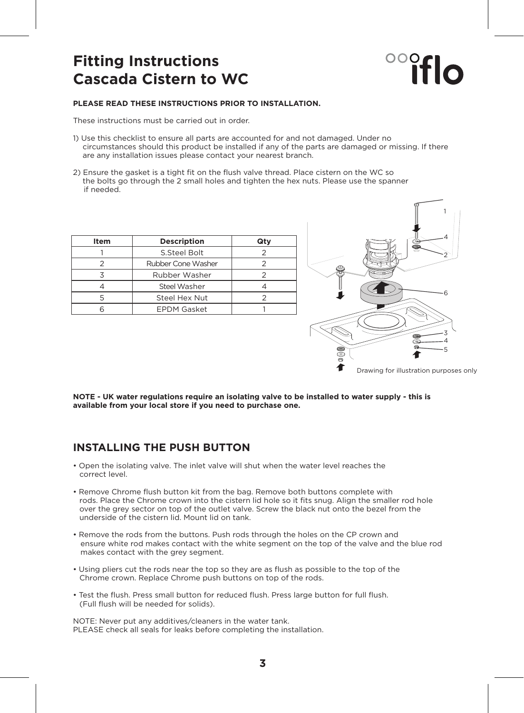### **Fitting Instructions Cascada Cistern to WC**

# **Olfic**

#### **PLEASE READ THESE INSTRUCTIONS PRIOR TO INSTALLATION.**

These instructions must be carried out in order.

- 1) Use this checklist to ensure all parts are accounted for and not damaged. Under no circumstances should this product be installed if any of the parts are damaged or missing. If there are any installation issues please contact your nearest branch.
- 2) Ensure the gasket is a tight fit on the flush valve thread. Place cistern on the WC so the bolts go through the 2 small holes and tighten the hex nuts. Please use the spanner if needed.

| Item | <b>Description</b> | Qtv |
|------|--------------------|-----|
|      | S.Steel Bolt       |     |
|      | Rubber Cone Washer |     |
|      | Rubber Washer      |     |
|      | Steel Washer       |     |
|      | Steel Hex Nut      |     |
|      | <b>EPDM Gasket</b> |     |
|      |                    |     |



**NOTE - UK water regulations require an isolating valve to be installed to water supply - this is available from your local store if you need to purchase one.**

#### **INSTALLING THE PUSH BUTTON**

- Open the isolating valve. The inlet valve will shut when the water level reaches the correct level.
- Remove Chrome flush button kit from the bag. Remove both buttons complete with rods. Place the Chrome crown into the cistern lid hole so it fits snug. Align the smaller rod hole over the grey sector on top of the outlet valve. Screw the black nut onto the bezel from the underside of the cistern lid. Mount lid on tank.
- Remove the rods from the buttons. Push rods through the holes on the CP crown and ensure white rod makes contact with the white segment on the top of the valve and the blue rod makes contact with the grey segment.
- Using pliers cut the rods near the top so they are as flush as possible to the top of the Chrome crown. Replace Chrome push buttons on top of the rods.
- Test the flush. Press small button for reduced flush. Press large button for full flush. (Full flush will be needed for solids).

NOTE: Never put any additives/cleaners in the water tank. PLEASE check all seals for leaks before completing the installation.